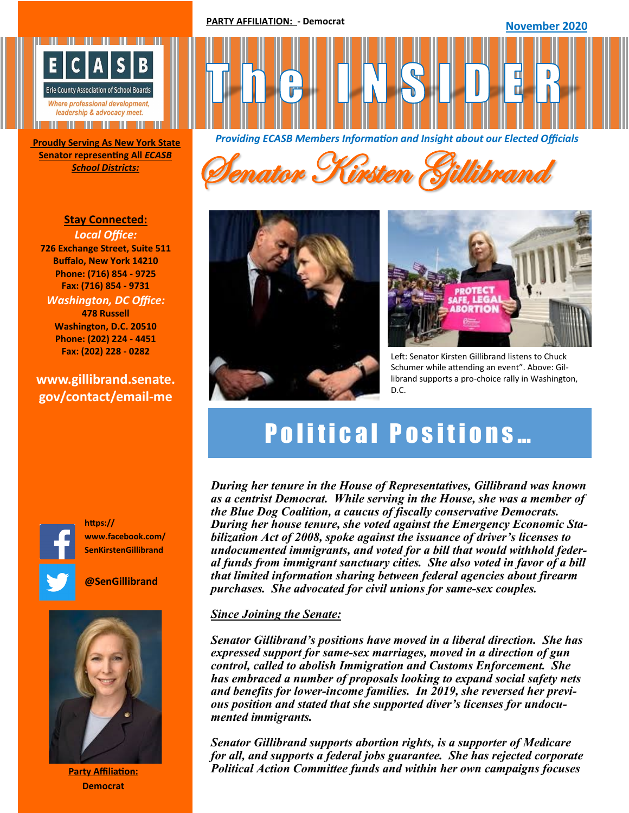**PARTY AFFILIATION: - Democrat**

**November 2020** 



**Senator representing All** *ECASB* 

**Stay Connected:**  *Local Office:* **726 Exchange Street, Suite 511 Buffalo, New York 14210 Phone: (716) 854 - 9725 Fax: (716) 854 - 9731** *Washington, DC Office:* **478 Russell Washington, D.C. 20510 Phone: (202) 224 - 4451 Fax: (202) 228 - 0282**

### **www.gillibrand.senate. gov/contact/email-me**



**https:// www.facebook.com/ SenKirstenGillibrand**

**@SenGillibrand**



**Party Affiliation: Democrat**



**School Districts: Senator Kirsten Gillibrand** 





Left: Senator Kirsten Gillibrand listens to Chuck Schumer while attending an event". Above: Gillibrand supports a pro-choice rally in Washington, D.C.

# **Political Positions...**

*During her tenure in the House of Representatives, Gillibrand was known as a centrist Democrat. While serving in the House, she was a member of the Blue Dog Coalition, a caucus of fiscally conservative Democrats. During her house tenure, she voted against the Emergency Economic Stabilization Act of 2008, spoke against the issuance of driver's licenses to undocumented immigrants, and voted for a bill that would withhold federal funds from immigrant sanctuary cities. She also voted in favor of a bill that limited information sharing between federal agencies about firearm purchases. She advocated for civil unions for same-sex couples.* 

#### *Since Joining the Senate:*

*Senator Gillibrand's positions have moved in a liberal direction. She has expressed support for same-sex marriages, moved in a direction of gun control, called to abolish Immigration and Customs Enforcement. She has embraced a number of proposals looking to expand social safety nets and benefits for lower-income families. In 2019, she reversed her previous position and stated that she supported diver's licenses for undocumented immigrants.* 

*Senator Gillibrand supports abortion rights, is a supporter of Medicare for all, and supports a federal jobs guarantee. She has rejected corporate Political Action Committee funds and within her own campaigns focuses*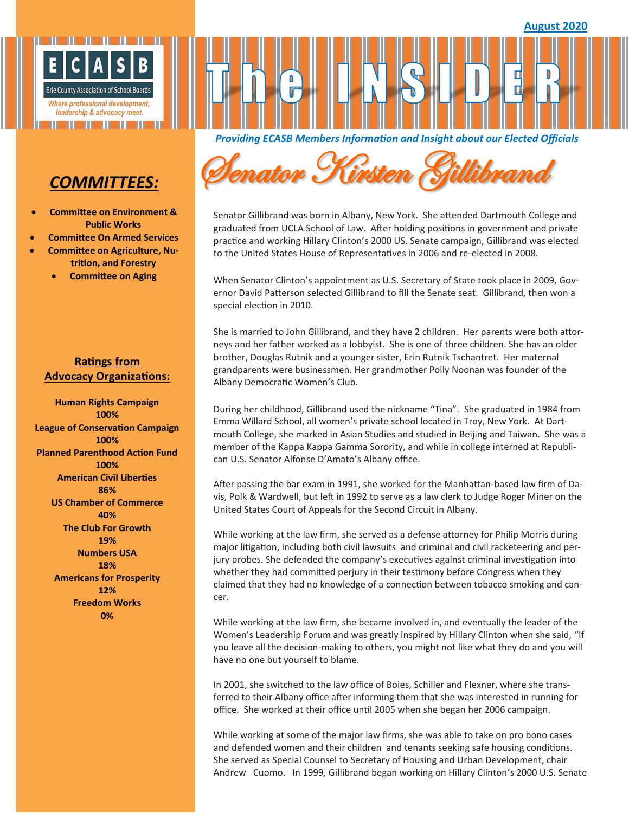

## *COMMITTEES:*

- **Committee on Environment & Public Works**
- **Committee On Armed Services**
- **Committee on Agriculture, Nutrition, and Forestry**
	- **Committee on Aging**

#### **Ratings from Advocacy Organizations:**

**Human Rights Campaign 100% League of Conservation Campaign 100% Planned Parenthood Action Fund 100% American Civil Liberties 86% US Chamber of Commerce 40% The Club For Growth 19% Numbers USA 18% Americans for Prosperity 12% Freedom Works 0%**

*Providing ECASB Members Information and Insight about our Elected Officials* 



Senator Gillibrand was born in Albany, New York. She attended Dartmouth College and graduated from UCLA School of Law. After holding positions in government and private practice and working Hillary Clinton's 2000 US. Senate campaign, Gillibrand was elected to the United States House of Representatives in 2006 and re-elected in 2008.

When Senator Clinton's appointment as U.S. Secretary of State took place in 2009, Governor David Patterson selected Gillibrand to fill the Senate seat. Gillibrand, then won a special election in 2010.

She is married to John Gillibrand, and they have 2 children. Her parents were both attorneys and her father worked as a lobbyist. She is one of three children. She has an older brother, Douglas Rutnik and a younger sister, Erin Rutnik Tschantret. Her maternal grandparents were businessmen. Her grandmother Polly Noonan was founder of the Albany Democratic Women's Club.

During her childhood, Gillibrand used the nickname "Tina". She graduated in 1984 from Emma Willard School, all women's private school located in Troy, New York. At Dartmouth College, she marked in Asian Studies and studied in Beijing and Taiwan. She was a member of the Kappa Kappa Gamma Sorority, and while in college interned at Republican U.S. Senator Alfonse D'Amato's Albany office.

After passing the bar exam in 1991, she worked for the Manhattan-based law firm of Davis, Polk & Wardwell, but left in 1992 to serve as a law clerk to Judge Roger Miner on the United States Court of Appeals for the Second Circuit in Albany.

While working at the law firm, she served as a defense attorney for Philip Morris during major litigation, including both civil lawsuits and criminal and civil racketeering and perjury probes. She defended the company's executives against criminal investigation into whether they had committed perjury in their testimony before Congress when they claimed that they had no knowledge of a connection between tobacco smoking and cancer.

While working at the law firm, she became involved in, and eventually the leader of the Women's Leadership Forum and was greatly inspired by Hillary Clinton when she said, "If you leave all the decision-making to others, you might not like what they do and you will have no one but yourself to blame.

In 2001, she switched to the law office of Boies, Schiller and Flexner, where she transferred to their Albany office after informing them that she was interested in running for office. She worked at their office until 2005 when she began her 2006 campaign.

While working at some of the major law firms, she was able to take on pro bono cases and defended women and their children and tenants seeking safe housing conditions. She served as Special Counsel to Secretary of Housing and Urban Development, chair Andrew Cuomo. In 1999, Gillibrand began working on Hillary Clinton's 2000 U.S. Senate